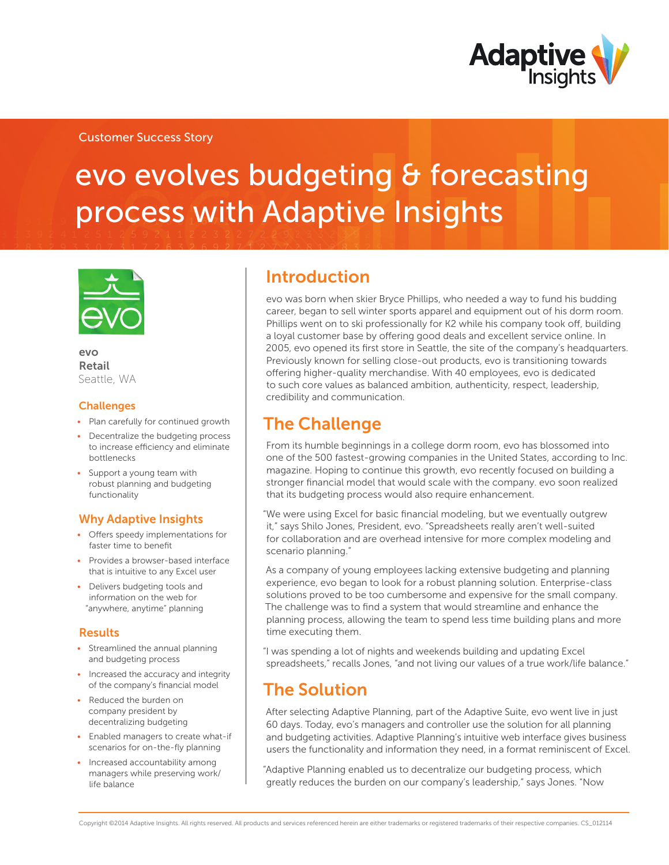

### Customer Success Story

# evo evolves budgeting & forecasting process with Adaptive Insights



evo Retail Seattle, WA

#### **Challenges**

- Plan carefully for continued growth
- Decentralize the budgeting process to increase efficiency and eliminate bottlenecks
- Support a young team with robust planning and budgeting functionality

### Why Adaptive Insights

- Offers speedy implementations for faster time to benefit
- Provides a browser-based interface that is intuitive to any Excel user
- Delivers budgeting tools and information on the web for "anywhere, anytime" planning

### Results

- Streamlined the annual planning and budgeting process
- Increased the accuracy and integrity of the company's financial model
- Reduced the burden on company president by decentralizing budgeting
- Enabled managers to create what-if scenarios for on-the-fly planning
- Increased accountability among managers while preserving work/ life balance

### Introduction

evo was born when skier Bryce Phillips, who needed a way to fund his budding career, began to sell winter sports apparel and equipment out of his dorm room. Phillips went on to ski professionally for K2 while his company took off, building a loyal customer base by offering good deals and excellent service online. In 2005, evo opened its first store in Seattle, the site of the company's headquarters. Previously known for selling close-out products, evo is transitioning towards offering higher-quality merchandise. With 40 employees, evo is dedicated to such core values as balanced ambition, authenticity, respect, leadership, credibility and communication.

### The Challenge

From its humble beginnings in a college dorm room, evo has blossomed into one of the 500 fastest-growing companies in the United States, according to Inc. magazine. Hoping to continue this growth, evo recently focused on building a stronger financial model that would scale with the company. evo soon realized that its budgeting process would also require enhancement.

"We were using Excel for basic financial modeling, but we eventually outgrew it," says Shilo Jones, President, evo. "Spreadsheets really aren't well-suited for collaboration and are overhead intensive for more complex modeling and scenario planning."

As a company of young employees lacking extensive budgeting and planning experience, evo began to look for a robust planning solution. Enterprise-class solutions proved to be too cumbersome and expensive for the small company. The challenge was to find a system that would streamline and enhance the planning process, allowing the team to spend less time building plans and more time executing them.

"I was spending a lot of nights and weekends building and updating Excel spreadsheets," recalls Jones, "and not living our values of a true work/life balance."

# The Solution

After selecting Adaptive Planning, part of the Adaptive Suite, evo went live in just 60 days. Today, evo's managers and controller use the solution for all planning and budgeting activities. Adaptive Planning's intuitive web interface gives business users the functionality and information they need, in a format reminiscent of Excel.

"Adaptive Planning enabled us to decentralize our budgeting process, which greatly reduces the burden on our company's leadership," says Jones. "Now